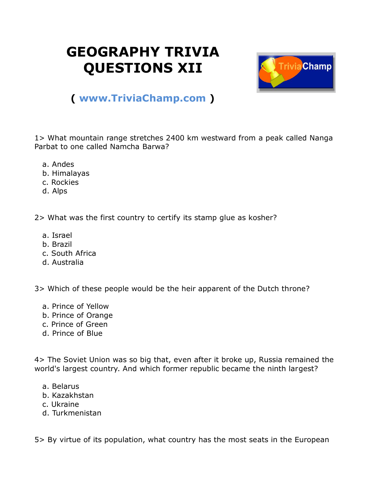## **GEOGRAPHY TRIVIA QUESTIONS XII**



## **( [www.TriviaChamp.com](http://www.triviachamp.com/) )**

1> What mountain range stretches 2400 km westward from a peak called Nanga Parbat to one called Namcha Barwa?

- a. Andes
- b. Himalayas
- c. Rockies
- d. Alps

2> What was the first country to certify its stamp glue as kosher?

- a. Israel
- b. Brazil
- c. South Africa
- d. Australia

3> Which of these people would be the heir apparent of the Dutch throne?

- a. Prince of Yellow
- b. Prince of Orange
- c. Prince of Green
- d. Prince of Blue

4> The Soviet Union was so big that, even after it broke up, Russia remained the world's largest country. And which former republic became the ninth largest?

- a. Belarus
- b. Kazakhstan
- c. Ukraine
- d. Turkmenistan

5> By virtue of its population, what country has the most seats in the European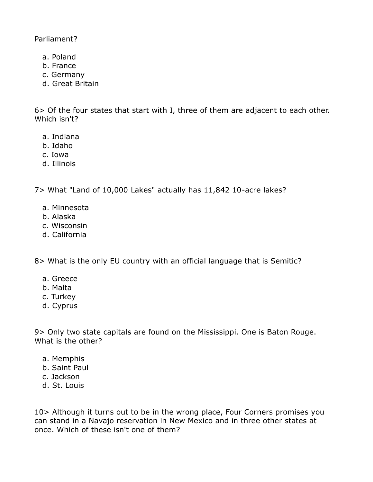Parliament?

- a. Poland
- b. France
- c. Germany
- d. Great Britain

6> Of the four states that start with I, three of them are adjacent to each other. Which isn't?

- a. Indiana
- b. Idaho
- c. Iowa
- d. Illinois

7> What "Land of 10,000 Lakes" actually has 11,842 10-acre lakes?

- a. Minnesota
- b. Alaska
- c. Wisconsin
- d. California

8> What is the only EU country with an official language that is Semitic?

- a. Greece
- b. Malta
- c. Turkey
- d. Cyprus

9> Only two state capitals are found on the Mississippi. One is Baton Rouge. What is the other?

- a. Memphis
- b. Saint Paul
- c. Jackson
- d. St. Louis

10> Although it turns out to be in the wrong place, Four Corners promises you can stand in a Navajo reservation in New Mexico and in three other states at once. Which of these isn't one of them?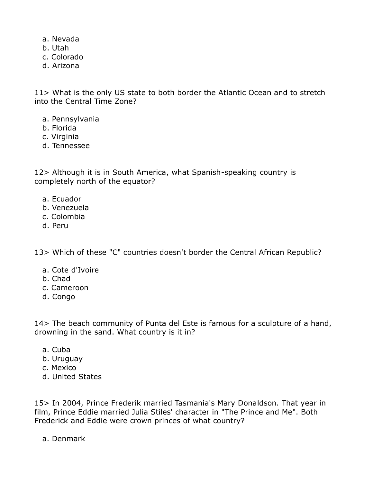- a. Nevada
- b. Utah
- c. Colorado
- d. Arizona

11> What is the only US state to both border the Atlantic Ocean and to stretch into the Central Time Zone?

- a. Pennsylvania
- b. Florida
- c. Virginia
- d. Tennessee

12> Although it is in South America, what Spanish-speaking country is completely north of the equator?

- a. Ecuador
- b. Venezuela
- c. Colombia
- d. Peru

13> Which of these "C" countries doesn't border the Central African Republic?

- a. Cote d'Ivoire
- b. Chad
- c. Cameroon
- d. Congo

14> The beach community of Punta del Este is famous for a sculpture of a hand, drowning in the sand. What country is it in?

- a. Cuba
- b. Uruguay
- c. Mexico
- d. United States

15> In 2004, Prince Frederik married Tasmania's Mary Donaldson. That year in film, Prince Eddie married Julia Stiles' character in "The Prince and Me". Both Frederick and Eddie were crown princes of what country?

a. Denmark